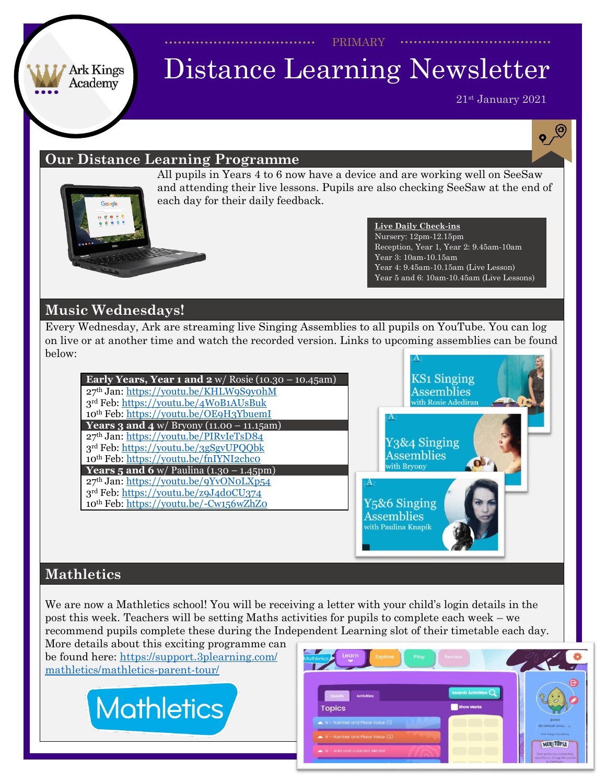PRIMARY

#### Ark Kings Academy

# Distance Learning Newsletter

21st January 2021

 $\mathbf{e}^{\bigcirc}$ 

#### **Our Distance Learning Programme**



All pupils in Years 4 to 6 now have a device and are working well on SeeSaw and attending their live lessons. Pupils are also checking SeeSaw at the end of each day for their daily feedback.

#### **Live Daily Check-ins** Nursery: 12pm-12.15pm Reception, Year 1, Year 2: 9.45am-10am Year 3: 10am-10.15am Year 4: 9.45am-10.15am (Live Lesson) Year 5 and 6: 10am-10.45am (Live Lessons)

### **Music Wednesdays!**

Every Wednesday, Ark are streaming live Singing Assemblies to all pupils on YouTube. You can log on live or at another time and watch the recorded version. Links to upcoming assemblies can be found below:

**Early Years, Year 1 and 2** w/ Rosie (10.30 – 10.45am) th Jan: <https://youtu.be/KHLW9S9y0hM> rd Feb: <https://youtu.be/4WoB1AUsBuk> th Feb: <https://youtu.be/OE9H3YbuemI> **Years 3 and 4** w/ Bryony (11.00 – 11.15am) th Jan: <https://youtu.be/PIRvIeTsD84> rd Feb: <https://youtu.be/3gSgvUPQQbk> th Feb: <https://youtu.be/fnIYNI2chc0> **Years 5** and **6** w/ Paulina  $(1.30 - 1.45)$ th Jan: <https://youtu.be/9YvON0LXp54> rd Feb: <https://youtu.be/z9J4d0CU374> Y<sub>5</sub>&6 Singing th Feb: <https://youtu.be/-Cw156wZhZ0> **Assemblies** 



with Paulina Knapik

#### **Mathletics**

We are now a Mathletics school! You will be receiving a letter with your child's login details in the post this week. Teachers will be setting Maths activities for pupils to complete each week – we recommend pupils complete these during the Independent Learning slot of their timetable each day.

More details about this exciting programme can be found here: [https://support.3plearning.com/](https://support.3plearning.com/mathletics/mathletics-parent-tour/) [mathletics/mathletics-parent-tour/](https://support.3plearning.com/mathletics/mathletics-parent-tour/)



| Learn<br>Explore<br>Play<br><b>Anthletics</b>                                            | Review                                     |                                                                                |
|------------------------------------------------------------------------------------------|--------------------------------------------|--------------------------------------------------------------------------------|
| Quests<br><b>Activities</b><br><b>Topics</b>                                             | Search Activities $Q$<br><b>Show Marks</b> | e                                                                              |
| N - Number and Place Value (1)<br>$\blacktriangleright$ N - Number and Place Value $(2)$ |                                            | Jamie<br>30 Default Grou.<br>Ark Kings Acoderey                                |
| N - Add and Subtract Mental                                                              |                                            | MERITOPIA<br><b>Compoints by completing</b><br>activities to charge the portal |